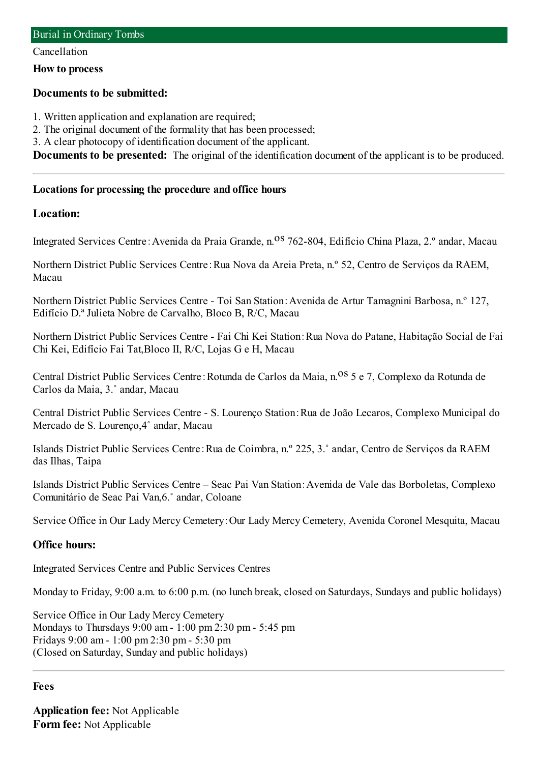#### Cancellation

**How to process**

## **Documents to be submitted:**

1. Written application and explanation are required;

2. The original document of the formality that has been processed;

3. A clear photocopy of identification document of the applicant.

**Documents to be presented:** The original of the identification document of the applicant is to be produced.

### **Locations for processing the procedure and office hours**

## **Location:**

Integrated Services Centre: Avenida da Praia Grande, n.<sup>08</sup> 762-804, Edifício China Plaza, 2.º andar, Macau

Northern District Public Services Centre:Rua Nova da Areia Preta, n.º 52, Centro de Serviços da RAEM, Macau

Northern District Public Services Centre - Toi San Station:Avenida de Artur Tamagnini Barbosa, n.º 127, Edifício D.ª Julieta Nobre de Carvalho, Bloco B, R/C, Macau

Northern District Public Services Centre - Fai Chi Kei Station:Rua Nova do Patane, Habitação Social de Fai Chi Kei, Edifício Fai Tat,Bloco II, R/C, Lojas G e H, Macau

Central District Public Services Centre: Rotunda de Carlos da Maia, n.<sup>08</sup> 5 e 7, Complexo da Rotunda de Carlos da Maia, 3.˚ andar, Macau

Central District Public Services Centre - S. Lourenço Station:Rua de João Lecaros, Complexo Municipal do Mercado de S. Lourenço,4˚ andar, Macau

Islands District Public Services Centre:Rua de Coimbra, n.º 225, 3.˚ andar, Centro de Serviços da RAEM das Ilhas, Taipa

Islands District Public Services Centre – Seac Pai Van Station:Avenida de Vale das Borboletas, Complexo Comunitário de Seac Pai Van,6.˚ andar, Coloane

Service Office in Our Lady Mercy Cemetery:Our Lady Mercy Cemetery, Avenida Coronel Mesquita, Macau

## **Office hours:**

Integrated Services Centre and Public Services Centres

Monday to Friday, 9:00 a.m. to 6:00 p.m. (no lunch break, closed on Saturdays, Sundays and public holidays)

Service Office in Our Lady Mercy Cemetery Mondays to Thursdays 9:00 am- 1:00 pm2:30 pm- 5:45 pm Fridays 9:00 am- 1:00 pm2:30 pm- 5:30 pm (Closed on Saturday, Sunday and public holidays)

#### **Fees**

**Application fee:** Not Applicable **Form fee:** Not Applicable